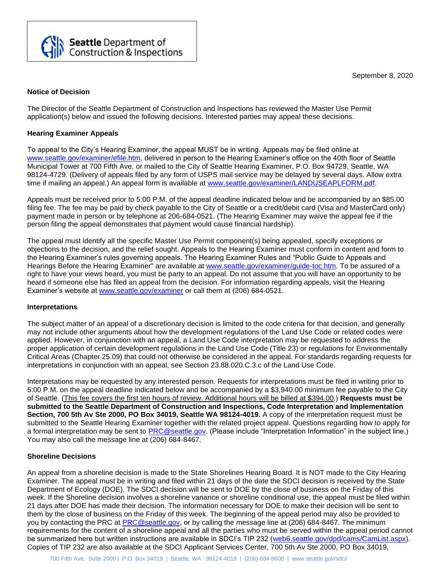September 8, 2020



The Director of the Seattle Department of Construction and Inspections has reviewed the Master Use Permit application(s) below and issued the following decisions. Interested parties may appeal these decisions.

### **Hearing Examiner Appeals**

**Seattle** Department of<br>Construction & Inspections

To appeal to the City's Hearing Examiner, the appeal MUST be in writing. Appeals may be filed online at [www.seattle.gov/examiner/efile.htm,](http://www.seattle.gov/examiner/efile.htm) delivered in person to the Hearing Examiner's office on the 40th floor of Seattle Municipal Tower at 700 Fifth Ave. or mailed to the City of Seattle Hearing Examiner, P.O. Box 94729, Seattle, WA 98124-4729. (Delivery of appeals filed by any form of USPS mail service may be delayed by several days. Allow extra time if mailing an appeal.) An appeal form is available at [www.seattle.gov/examiner/LANDUSEAPLFORM.pdf.](http://www.seattle.gov/examiner/LANDUSEAPLFORM.pdf)

Appeals must be received prior to 5:00 P.M. of the appeal deadline indicated below and be accompanied by an \$85.00 filing fee. The fee may be paid by check payable to the City of Seattle or a credit/debit card (Visa and MasterCard only) payment made in person or by telephone at 206-684-0521. (The Hearing Examiner may waive the appeal fee if the person filing the appeal demonstrates that payment would cause financial hardship).

The appeal must identify all the specific Master Use Permit component(s) being appealed, specify exceptions or objections to the decision, and the relief sought. Appeals to the Hearing Examiner must conform in content and form to the Hearing Examiner's rules governing appeals. The Hearing Examiner Rules and "Public Guide to Appeals and Hearings Before the Hearing Examiner" are available at [www.seattle.gov/examiner/guide-toc.htm.](http://www.seattle.gov/examiner/guide-toc.htm) To be assured of a right to have your views heard, you must be party to an appeal. Do not assume that you will have an opportunity to be heard if someone else has filed an appeal from the decision. For information regarding appeals, visit the Hearing Examiner's website at [www.seattle.gov/examiner](http://www.seattle.gov/examiner) or call them at (206) 684-0521.

### **Interpretations**

The subject matter of an appeal of a discretionary decision is limited to the code criteria for that decision, and generally may not include other arguments about how the development regulations of the Land Use Code or related codes were applied. However, in conjunction with an appeal, a Land Use Code interpretation may be requested to address the proper application of certain development regulations in the Land Use Code (Title 23) or regulations for Environmentally Critical Areas (Chapter 25.09) that could not otherwise be considered in the appeal. For standards regarding requests for interpretations in conjunction with an appeal, see Section 23.88.020.C.3.c of the Land Use Code.

Interpretations may be requested by any interested person. Requests for interpretations must be filed in writing prior to 5:00 P.M. on the appeal deadline indicated below and be accompanied by a \$3,940.00 minimum fee payable to the City of Seattle. (This fee covers the first ten hours of review. Additional hours will be billed at \$394.00.) **Requests must be submitted to the Seattle Department of Construction and Inspections, Code Interpretation and Implementation Section, 700 5th Av Ste 2000, PO Box 34019, Seattle WA 98124-4019.** A copy of the interpretation request must be submitted to the Seattle Hearing Examiner together with the related project appeal. Questions regarding how to apply for a formal interpretation may be sent to [PRC@seattle.gov.](mailto:PRC@seattle.gov) (Please include "Interpretation Information" in the subject line.) You may also call the message line at (206) 684-8467.

### **Shoreline Decisions**

An appeal from a shoreline decision is made to the State Shorelines Hearing Board. It is NOT made to the City Hearing Examiner. The appeal must be in writing and filed within 21 days of the date the SDCI decision is received by the State Department of Ecology (DOE). The SDCI decision will be sent to DOE by the close of business on the Friday of this week. If the Shoreline decision involves a shoreline variance or shoreline conditional use, the appeal must be filed within 21 days after DOE has made their decision. The information necessary for DOE to make their decision will be sent to them by the close of business on the Friday of this week. The beginning of the appeal period may also be provided to you by contacting the PRC at [PRC@seattle.gov,](mailto:PRC@seattle.gov) or by calling the message line at (206) 684-8467. The minimum requirements for the content of a shoreline appeal and all the parties who must be served within the appeal period cannot be summarized here but written instructions are available in SDCI's TIP 232 [\(web6.seattle.gov/dpd/cams/CamList.aspx\)](http://web6.seattle.gov/dpd/cams/CamList.aspx). Copies of TIP 232 are also available at the SDCI Applicant Services Center, 700 5th Av Ste 2000, PO Box 34019,